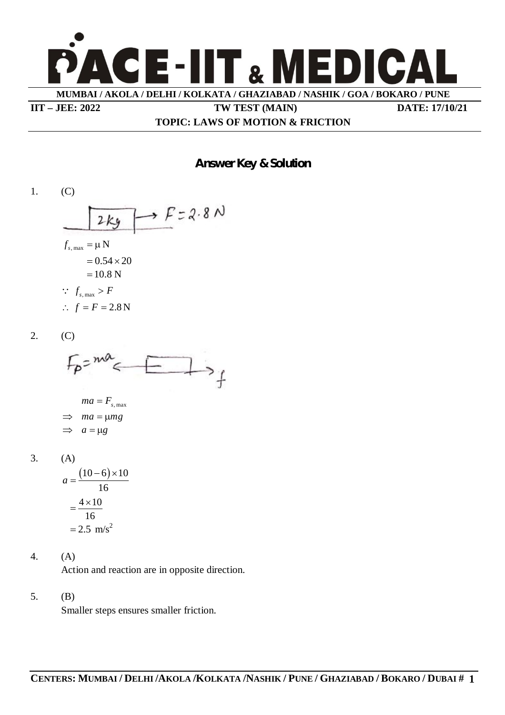

# **TOPIC: LAWS OF MOTION & FRICTION**

# **Answer Key & Solution**

1. (C)  $2ky$  -  $F=2.8N$  $f_{s, \max} = \mu N$  $= 0.54 \times 20$  $=10.8 N$  $\therefore$   $f_{s \text{ max}} > F$  $f = F = 2.8$  N

2. (C)



3. (A)

$$
a = \frac{(10-6) \times 10}{16}
$$
  
=  $\frac{4 \times 10}{16}$   
= 2.5 m/s<sup>2</sup>

4. (A)

Action and reaction are in opposite direction.

5. (B)

Smaller steps ensures smaller friction.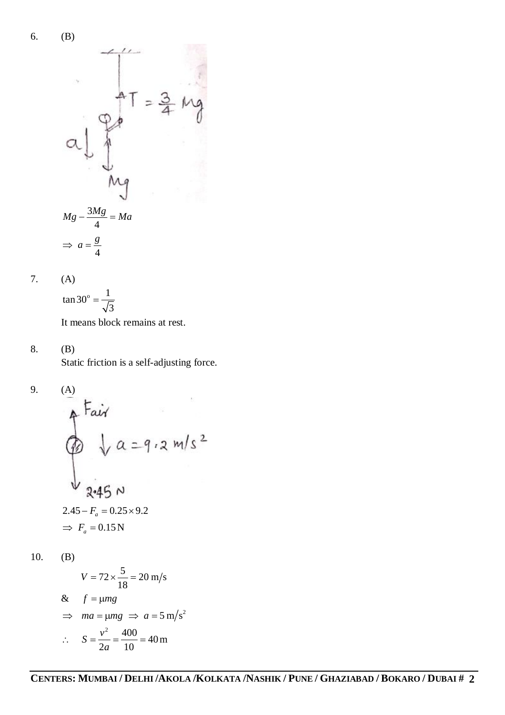

$$
7. (A)
$$

$$
\tan 30^\circ = \frac{1}{\sqrt{3}}
$$

It means block remains at rest.

### 8. (B)

Static friction is a self-adjusting force.

9. (A)  
\n
$$
\uparrow
$$
 Fair  
\n
$$
\downarrow
$$
 a = 9.2 m/s<sup>2</sup>  
\n
$$
\downarrow
$$
 a=9.2 m/s<sup>2</sup>  
\n2.45 - F<sub>a</sub> = 0.25×9.2  
\n
$$
\Rightarrow F_a = 0.15N
$$

10. (B)

$$
V = 72 \times \frac{5}{18} = 20 \text{ m/s}
$$
  
&  $f = \mu mg$   
 $\Rightarrow ma = \mu mg \Rightarrow a = 5 \text{ m/s}^2$   
 $\therefore S = \frac{v^2}{2a} = \frac{400}{10} = 40 \text{ m}$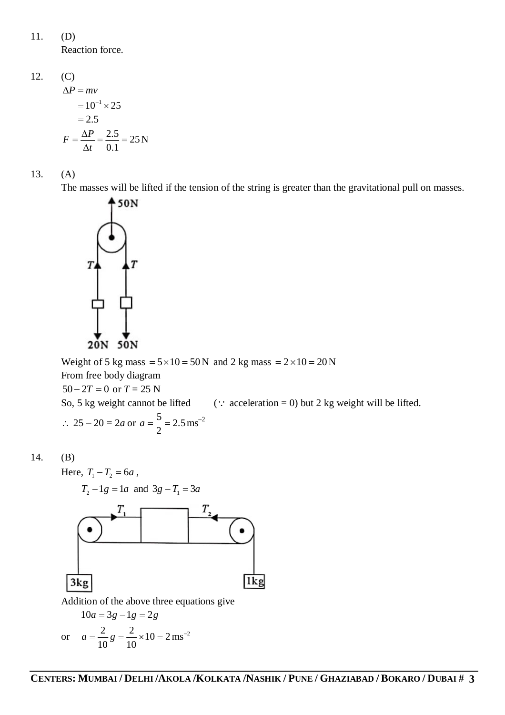11. (D) Reaction force.

12. (C)  
\n
$$
\Delta P = mv
$$
\n
$$
= 10^{-1} \times 25
$$
\n
$$
= 2.5
$$
\n
$$
F = \frac{\Delta P}{\Delta t} = \frac{2.5}{0.1} = 25 \text{ N}
$$

13. (A)

The masses will be lifted if the tension of the string is greater than the gravitational pull on masses.



Weight of 5 kg mass  $= 5 \times 10 = 50$  N and 2 kg mass  $= 2 \times 10 = 20$  N From free body diagram  $50 - 2T = 0$  or  $T = 25$  N So, 5 kg weight cannot be lifted  $\cdots$  acceleration = 0) but 2 kg weight will be lifted.  $\therefore$  25 – 20 = 2*a* or  $a = \frac{5}{2} = 2.5$ 2  $a = \frac{3}{2} = 2.5$  ms<sup>-2</sup>

$$
14. \qquad \text{(B)}
$$

Here,  $T_1 - T_2 = 6a$ ,

$$
T_2 - 1g = 1a
$$
 and  $3g - T_1 = 3a$ 



Addition of the above three equations give

$$
10a = 3g - 1g = 2g
$$
  
or 
$$
a = \frac{2}{10}g = \frac{2}{10} \times 10 = 2 \text{ ms}^{-2}
$$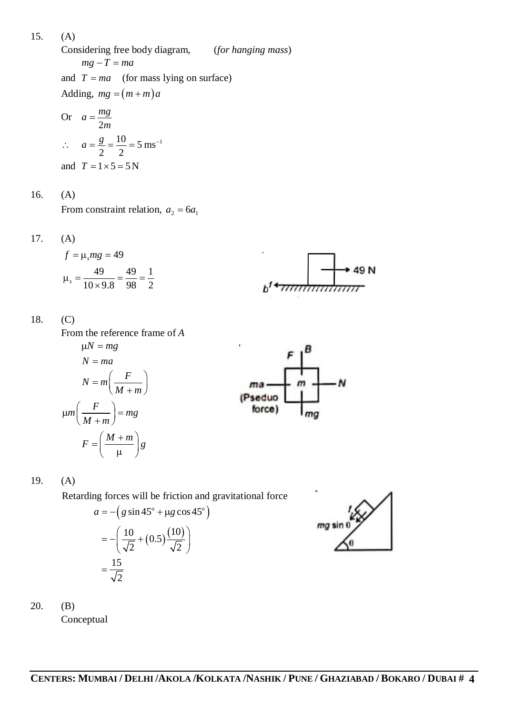15. (A)

Considering free body diagram, (*for hanging mass*)  $mg - T = ma$ and  $T = ma$  (for mass lying on surface) Adding,  $mg = (m + m)a$ Or 2  $a = \frac{mg}{2}$ *m*  $=$  $\therefore a = \frac{g}{2} = \frac{10}{2} = 5 \text{ ms}^{-1}$ 2 2  $a = \frac{g}{2} = \frac{10}{2} = 5$  ms<sup>-1</sup> and  $T = 1 \times 5 = 5 N$ 

### 16. (A)

From constraint relation,  $a_2 = 6a_1$ 

$$
17. (A)
$$

$$
f = \mu_s mg = 49
$$
  

$$
\mu_s = \frac{49}{10 \times 9.8} = \frac{49}{98} = \frac{1}{2}
$$



### 18. (C)

From the reference frame of *A*

$$
\mu N = mg
$$
  

$$
N = ma
$$
  

$$
N = m \left(\frac{F}{M+m}\right)
$$
  

$$
\mu m \left(\frac{F}{M+m}\right) = mg
$$
  

$$
F = \left(\frac{M+m}{\mu}\right)g
$$



### 19. (A)

Retarding forces will be friction and gravitational force

$$
a = -\left(g \sin 45^\circ + \mu g \cos 45^\circ\right) \\
= -\left(\frac{10}{\sqrt{2}} + (0.5)\frac{(10)}{\sqrt{2}}\right) \\
= \frac{15}{\sqrt{2}}
$$



20. (B)

Conceptual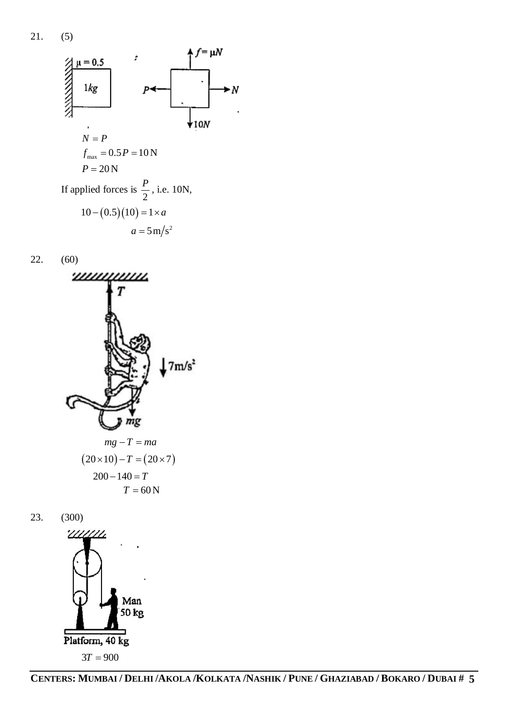21.









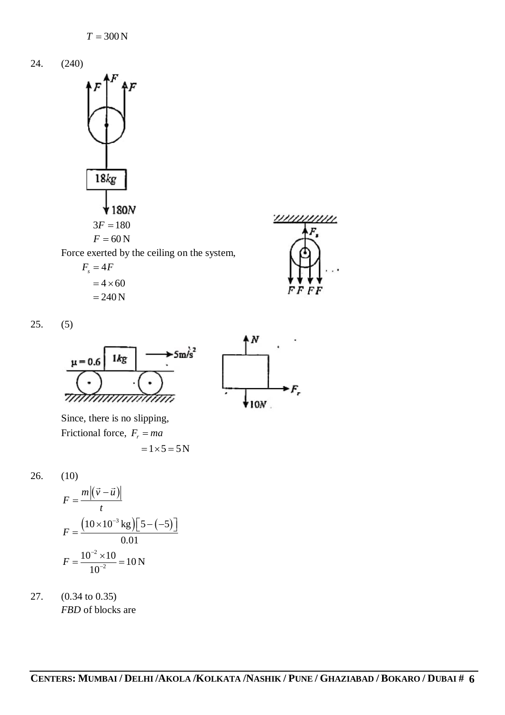



Force exerted by the ceiling on the system,

$$
F_s = 4F
$$
  
= 4 × 60  
= 240 N



25.  $(5)$ 





Since, there is no slipping, Frictional force,  $F_r = ma$  $=1\times 5=5N$ 

(10)  
\n
$$
F = \frac{m |(\vec{v} - \vec{u})|}{t}
$$
\n
$$
F = \frac{(10 \times 10^{-3} \text{ kg}) [5 - (-5)]}{0.01}
$$
\n
$$
F = \frac{10^{-2} \times 10}{10^{-2}} = 10 \text{ N}
$$

27. (0.34 to 0.35) *FBD* of blocks are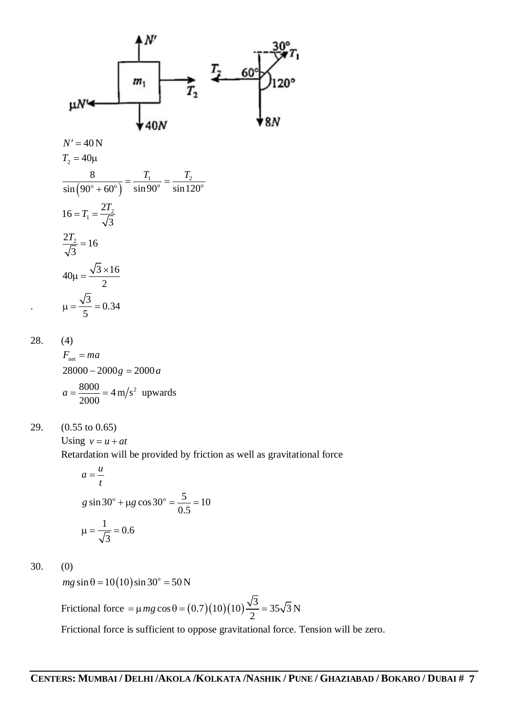

$$
N' = 40 \text{ N}
$$
  
\n
$$
T_2 = 40 \mu
$$
  
\n
$$
\frac{8}{\sin(90^\circ + 60^\circ)} = \frac{T_1}{\sin 90^\circ} = \frac{T_2}{\sin 120^\circ}
$$
  
\n
$$
16 = T_1 = \frac{2T_2}{\sqrt{3}}
$$
  
\n
$$
\frac{2T_2}{\sqrt{3}} = 16
$$
  
\n
$$
40 \mu = \frac{\sqrt{3} \times 16}{2}
$$
  
\n
$$
\mu = \frac{\sqrt{3}}{5} = 0.34
$$

28.

$$
F_{\text{net}} = ma
$$
  
28000 - 2000*g* = 2000*a*  

$$
a = \frac{8000}{2000} = 4 \text{ m/s}^2 \text{ upwards}
$$

 $(0.55 \text{ to } 0.65)$ 29.

 $(4)$ 

Using  $v = u + at$ 

Retardation will be provided by friction as well as gravitational force

$$
a = \frac{u}{t}
$$
  
g sin 30° +  $\mu$ g cos 30° =  $\frac{5}{0.5}$  = 10  

$$
\mu = \frac{1}{\sqrt{3}} = 0.6
$$

$$
30. \qquad (0)
$$

 $mg \sin \theta = 10(10) \sin 30^{\circ} = 50 N$ 

Frictional force = 
$$
\mu mg \cos \theta = (0.7)(10)(10)\frac{\sqrt{3}}{2} = 35\sqrt{3} N
$$

Frictional force is sufficient to oppose gravitational force. Tension will be zero.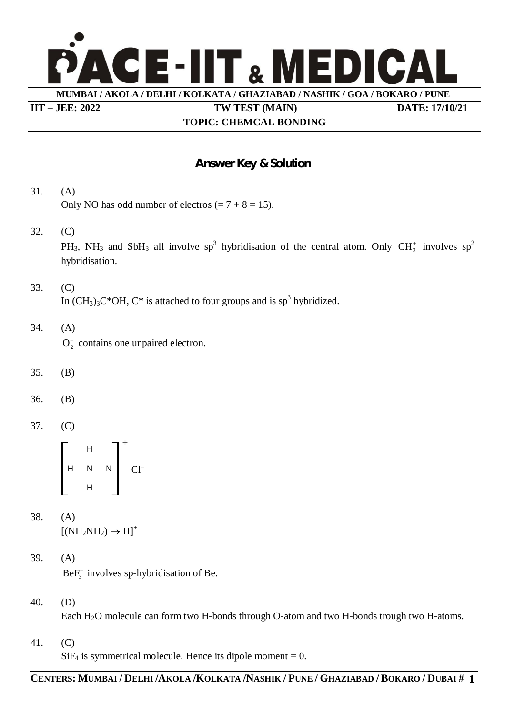

**IIT – JEE: 2022 TW TEST (MAIN) DATE: 17/10/21**

# **TOPIC: CHEMCAL BONDING**

# **Answer Key & Solution**

- 31. (A) Only NO has odd number of electros  $(= 7 + 8 = 15)$ .
- 32. (C)

PH<sub>3</sub>, NH<sub>3</sub> and SbH<sub>3</sub> all involve sp<sup>3</sup> hybridisation of the central atom. Only CH<sub>3</sub> involves sp<sup>2</sup> hybridisation.

- 33. (C) In  $(CH_3)_3C^*OH$ ,  $C^*$  is attached to four groups and is  $sp^3$  hybridized.
- 34. (A)

 $O_2^-$  contains one unpaired electron.

- 35. (B)
- 36. (B)
- 37. (C)



- 38. (A)  $[(NH<sub>2</sub>NH<sub>2</sub>) \rightarrow H]<sup>+</sup>$
- 39. (A)

 $BeF_3^-$  involves sp-hybridisation of Be.

40. (D)

Each H2O molecule can form two H-bonds through O-atom and two H-bonds trough two H-atoms.

41. (C)

 $SiF<sub>4</sub>$  is symmetrical molecule. Hence its dipole moment = 0.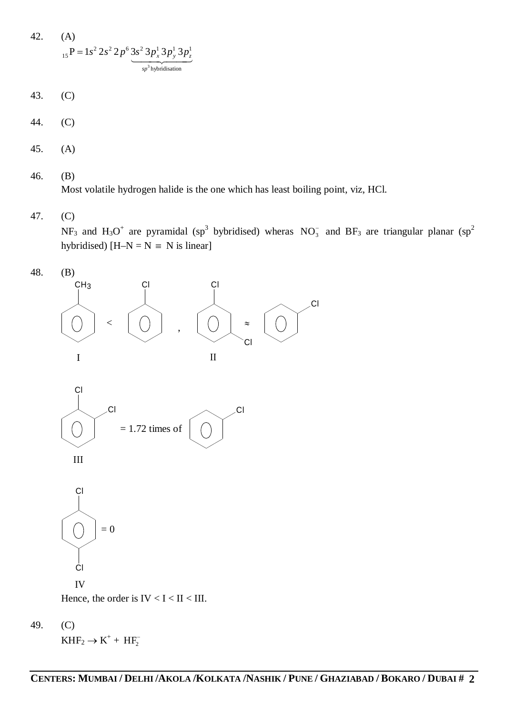42. (A)  
<sub>15</sub>P = 
$$
1s^2 2s^2 2p^6 3s^2 3p_x^1 3p_y^1 3p_z^1
$$
  
<sub>sp<sup>3</sup> hybridisation</sub>

- 43. (C)
- 44. (C)
- 45. (A)
- 46. (B)

Most volatile hydrogen halide is the one which has least boiling point, viz, HCl.

47. (C)

NF<sub>3</sub> and H<sub>3</sub>O<sup>+</sup> are pyramidal (sp<sup>3</sup> bybridised) wheras NO<sub>3</sub> and BF<sub>3</sub> are triangular planar (sp<sup>2</sup> hybridised)  $[H-N = N \equiv N \text{ is linear}]$ 



49. (C)

 $KHF_2 \rightarrow K^+ + HF_2^-$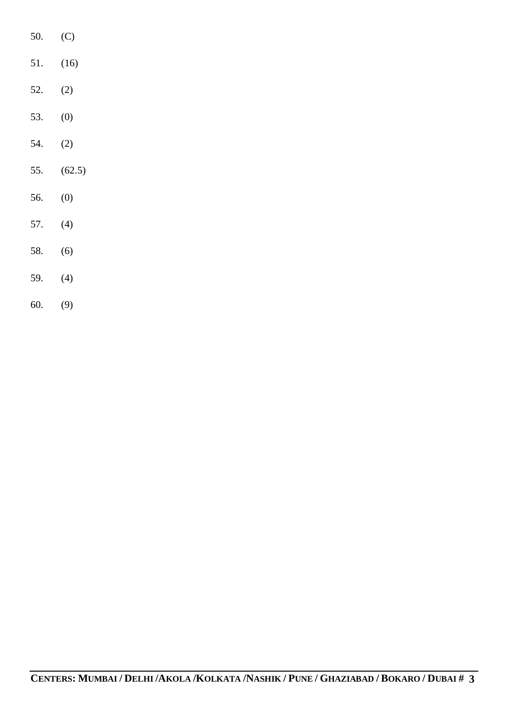- 50. (C)
- 51. (16)
- 52. (2)
- 53. (0)
- 54. (2)
- 55. (62.5)
- 56. (0)
- 57. (4)
- 58. (6)
- 59. (4)
- 60. (9)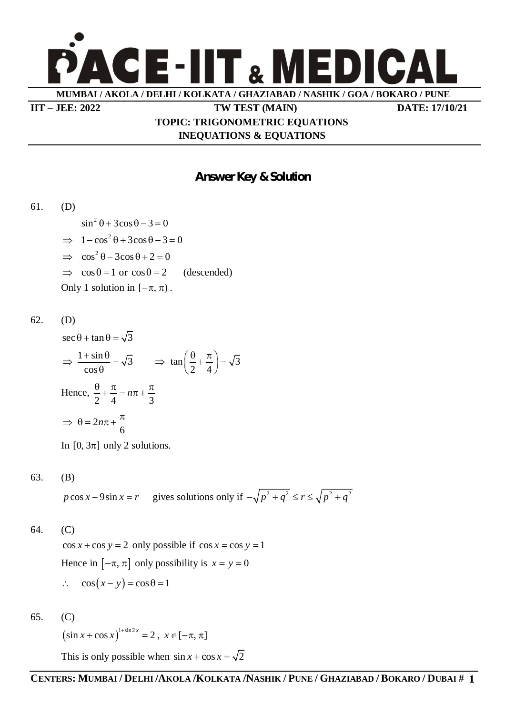

**IIT – JEE: 2022 TW TEST (MAIN) DATE: 17/10/21**

### **TOPIC: TRIGONOMETRIC EQUATIONS INEQUATIONS & EQUATIONS**

# **Answer Key & Solution**

61. (D)

 $\sin^2 \theta + 3\cos \theta - 3 = 0$  $\implies$  1 - cos<sup>2</sup>  $\theta$  + 3cos  $\theta$  - 3 = 0  $\implies$   $\cos^2 \theta - 3\cos \theta + 2 = 0$  $\implies$  cos  $\theta = 1$  or cos  $\theta = 2$  (descended) Only 1 solution in  $[-\pi, \pi)$ .

62. (D)

$$
\sec \theta + \tan \theta = \sqrt{3}
$$
  
\n
$$
\Rightarrow \frac{1 + \sin \theta}{\cos \theta} = \sqrt{3} \qquad \Rightarrow \tan \left( \frac{\theta}{2} + \frac{\pi}{4} \right) = \sqrt{3}
$$
  
\nHence,  $\frac{\theta}{2} + \frac{\pi}{4} = n\pi + \frac{\pi}{3}$   
\n
$$
\Rightarrow \theta = 2n\pi + \frac{\pi}{6}
$$
  
\nIn [0, 3 $\pi$ ] only 2 solutions.

63. (B)

$$
p\cos x - 9\sin x = r \quad \text{gives solutions only if } -\sqrt{p^2 + q^2} \le r \le \sqrt{p^2 + q^2}
$$

64. (C)

 $\cos x + \cos y = 2$  only possible if  $\cos x = \cos y = 1$ Hence in  $[-\pi, \pi]$  only possibility is  $x = y = 0$  $\therefore \cos(x-y) = \cos \theta = 1$ 

65. (C)

 $\left(\sin x + \cos x\right)^{1+\sin 2x} = 2, \ x \in [-\pi, \pi]$ 

This is only possible when  $\sin x + \cos x = \sqrt{2}$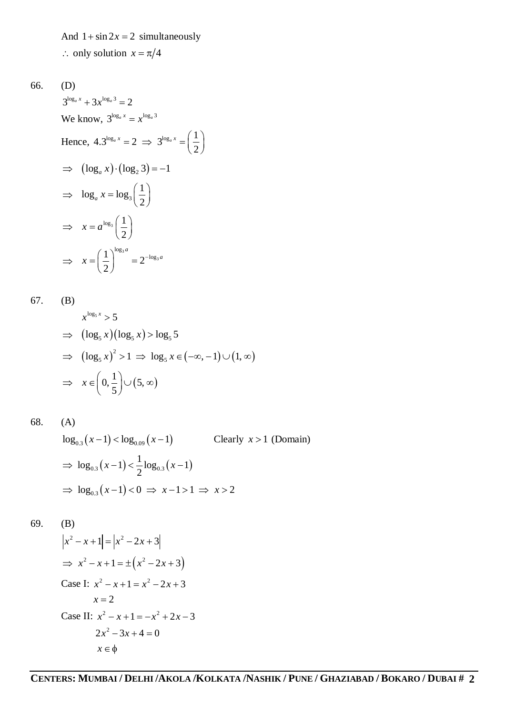And  $1 + \sin 2x = 2$  simultaneously  $\therefore$  only solution  $x = \pi/4$ 

66. (D)  
\n
$$
3^{\log_a x} + 3x^{\log_a 3} = 2
$$
  
\nWe know,  $3^{\log_a x} = x^{\log_a 3}$   
\nHence,  $4.3^{\log_a x} = 2 \implies 3^{\log_a x} = \left(\frac{1}{2}\right)$   
\n $\implies (\log_a x) \cdot (\log_2 3) = -1$   
\n $\implies \log_a x = \log_3 \left(\frac{1}{2}\right)$   
\n $\implies x = a^{\log_3} \left(\frac{1}{2}\right)$   
\n $\implies x = \left(\frac{1}{2}\right)^{\log_3 a} = 2^{-\log_3 a}$ 

67. (B)

$$
x^{\log_5 x} > 5
$$
  
\n
$$
\Rightarrow (\log_5 x)(\log_5 x) > \log_5 5
$$
  
\n
$$
\Rightarrow (\log_5 x)^2 > 1 \Rightarrow \log_5 x \in (-\infty, -1) \cup (1, \infty)
$$
  
\n
$$
\Rightarrow x \in \left(0, \frac{1}{5}\right) \cup (5, \infty)
$$

68. (A)  
\n
$$
\log_{0.3}(x-1) < \log_{0.09}(x-1)
$$
\nClearly  $x > 1$  (Domain)  
\n $\Rightarrow \log_{0.3}(x-1) < \frac{1}{2} \log_{0.3}(x-1)$   
\n $\Rightarrow \log_{0.3}(x-1) < 0 \Rightarrow x-1 > 1 \Rightarrow x > 2$ 

69. (B)

$$
|x^{2}-x+1| = |x^{2}-2x+3|
$$
  
\n
$$
\Rightarrow x^{2}-x+1 = \pm (x^{2}-2x+3)
$$
  
\nCase I:  $x^{2}-x+1 = x^{2}-2x+3$   
\n $x = 2$   
\nCase II:  $x^{2}-x+1 = -x^{2}+2x-3$   
\n $2x^{2}-3x+4 = 0$   
\n $x \in \Phi$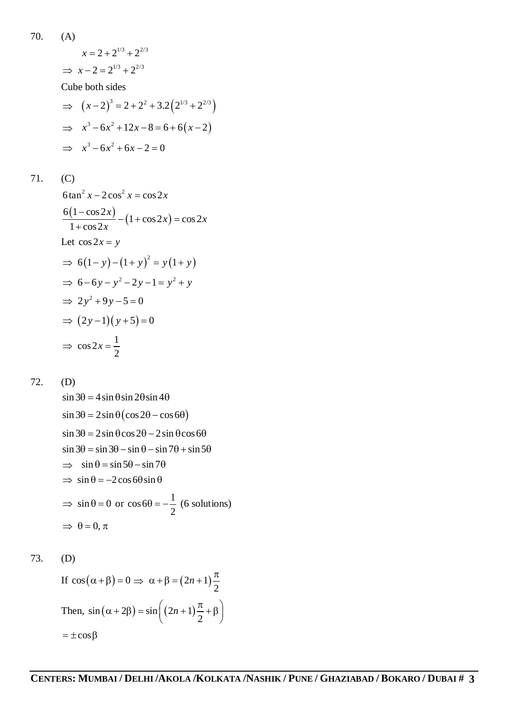70.  $(A)$  $x = 2 + 2^{1/3} + 2^{2/3}$  $\implies x - 2 = 2^{1/3} + 2^{2/3}$ Cube both sides

$$
\Rightarrow (x-2)^3 = 2 + 2^2 + 3 \cdot 2 (2^{1/3} + 2^{2/3})
$$
  
\n
$$
\Rightarrow x^3 - 6x^2 + 12x - 8 = 6 + 6(x-2)
$$
  
\n
$$
\Rightarrow x^3 - 6x^2 + 6x - 2 = 0
$$

71.  $(C)$ 

$$
6\tan^2 x - 2\cos^2 x = \cos 2x
$$
  
\n
$$
\frac{6(1-\cos 2x)}{1+\cos 2x} - (1+\cos 2x) = \cos 2x
$$
  
\nLet  $\cos 2x = y$   
\n $\Rightarrow 6(1-y) - (1+y)^2 = y(1+y)$   
\n $\Rightarrow 6-6y - y^2 - 2y - 1 = y^2 + y$   
\n $\Rightarrow 2y^2 + 9y - 5 = 0$   
\n $\Rightarrow (2y-1)(y+5) = 0$   
\n $\Rightarrow \cos 2x = \frac{1}{2}$ 

72. (D)

$$
\sin 3\theta = 4 \sin \theta \sin 2\theta \sin 4\theta
$$
  
\n
$$
\sin 3\theta = 2 \sin \theta (\cos 2\theta - \cos 6\theta)
$$
  
\n
$$
\sin 3\theta = 2 \sin \theta \cos 2\theta - 2 \sin \theta \cos 6\theta
$$
  
\n
$$
\sin 3\theta = \sin 3\theta - \sin \theta - \sin 7\theta + \sin 5\theta
$$
  
\n
$$
\Rightarrow \sin \theta = \sin 5\theta - \sin 7\theta
$$
  
\n
$$
\Rightarrow \sin \theta = -2 \cos 6\theta \sin \theta
$$
  
\n
$$
\Rightarrow \sin \theta = 0 \text{ or } \cos 6\theta = -\frac{1}{2} \text{ (6 solutions)}
$$
  
\n
$$
\Rightarrow \theta = 0, \pi
$$

73.  $(D)$ 

If 
$$
cos(\alpha + \beta) = 0 \Rightarrow \alpha + \beta = (2n + 1)\frac{\pi}{2}
$$
  
Then,  $sin(\alpha + 2\beta) = sin((2n + 1)\frac{\pi}{2} + \beta)$   
=  $pm cos \beta$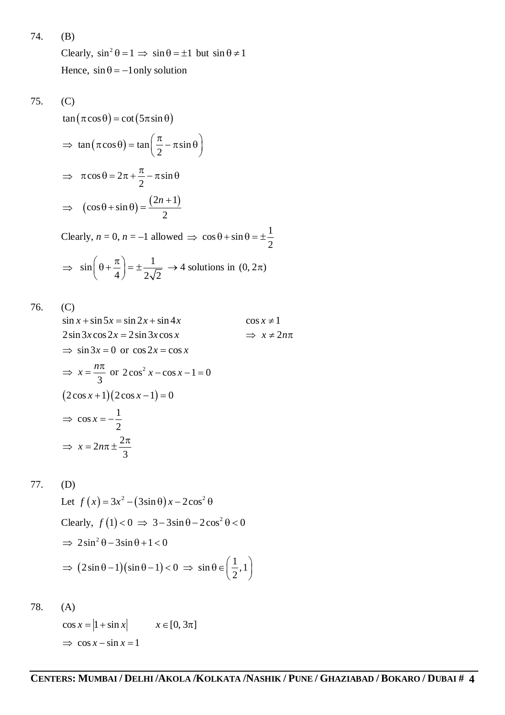74.  $(B)$ 

> Clearly,  $\sin^2 \theta = 1 \implies \sin \theta = \pm 1$  but  $\sin \theta \neq 1$ Hence,  $\sin \theta = -1$  only solution

75. (C)  
\n
$$
\tan(\pi \cos \theta) = \cot(5\pi \sin \theta)
$$
\n
$$
\Rightarrow \tan(\pi \cos \theta) = \tan\left(\frac{\pi}{2} - \pi \sin \theta\right)
$$
\n
$$
\Rightarrow \pi \cos \theta = 2\pi + \frac{\pi}{2} - \pi \sin \theta
$$
\n
$$
\Rightarrow (\cos \theta + \sin \theta) = \frac{(2n+1)}{2}
$$

Clearly, 
$$
n = 0
$$
,  $n = -1$  allowed  $\Rightarrow \cos \theta + \sin \theta = \pm \frac{1}{2}$   
\n $\Rightarrow \sin \left(\theta + \frac{\pi}{4}\right) = \pm \frac{1}{2\sqrt{2}} \rightarrow 4$  solutions in  $(0, 2\pi)$ 

$$
76. \qquad (C)
$$

$$
\sin x + \sin 5x = \sin 2x + \sin 4x \qquad \cos x \neq 1
$$
  
\n
$$
2 \sin 3x \cos 2x = 2 \sin 3x \cos x \qquad \Rightarrow x \neq 2n\pi
$$
  
\n
$$
\Rightarrow \sin 3x = 0 \text{ or } \cos 2x = \cos x
$$
  
\n
$$
\Rightarrow x = \frac{n\pi}{3} \text{ or } 2 \cos^2 x - \cos x - 1 = 0
$$
  
\n
$$
(2 \cos x + 1)(2 \cos x - 1) = 0
$$
  
\n
$$
\Rightarrow \cos x = -\frac{1}{2}
$$
  
\n
$$
\Rightarrow x = 2n\pi \pm \frac{2\pi}{3}
$$

77.  $(D)$ 

Let 
$$
f(x) = 3x^2 - (3\sin \theta)x - 2\cos^2 \theta
$$
  
\nClearly,  $f(1) < 0 \implies 3 - 3\sin \theta - 2\cos^2 \theta < 0$   
\n $\implies 2\sin^2 \theta - 3\sin \theta + 1 < 0$   
\n $\implies (2\sin \theta - 1)(\sin \theta - 1) < 0 \implies \sin \theta \in (\frac{1}{2}, 1)$ 

$$
78. (A)
$$

$$
\cos x = |1 + \sin x| \qquad x \in [0, 3\pi]
$$
  
\n
$$
\Rightarrow \cos x - \sin x = 1
$$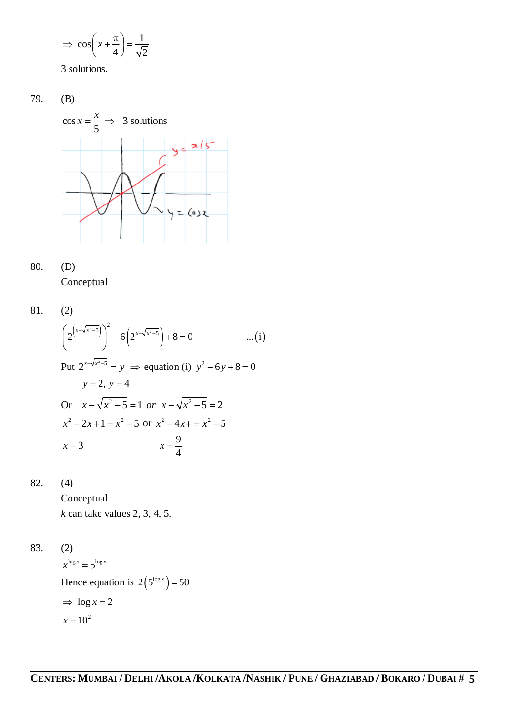$$
\Rightarrow \cos\left(x + \frac{\pi}{4}\right) = \frac{1}{\sqrt{2}}
$$

3 solutions.

79. (B)





81. (2)  
\n
$$
\left(2^{\left(x-\sqrt{x^2-5}\right)}\right)^2 - 6\left(2^{x-\sqrt{x^2-5}}\right) + 8 = 0 \qquad \qquad ...(i)
$$
\nPut  $2^{x-\sqrt{x^2-5}} = y \implies$  equation (i)  $y^2 - 6y + 8 = 0$   
\n $y = 2, y = 4$   
\nOr  $x - \sqrt{x^2 - 5} = 1$  or  $x - \sqrt{x^2 - 5} = 2$   
\n $x^2 - 2x + 1 = x^2 - 5$  or  $x^2 - 4x + 1 = x^2 - 5$   
\n $x = \frac{9}{4}$ 

82. (4)

Conceptual *k* can take values 2, 3, 4, 5.

83. (2)

 $x^{\log 5} = 5^{\log x}$ Hence equation is  $2(5^{\log x}) = 50$  $\Rightarrow \log x = 2$  $x = 10^2$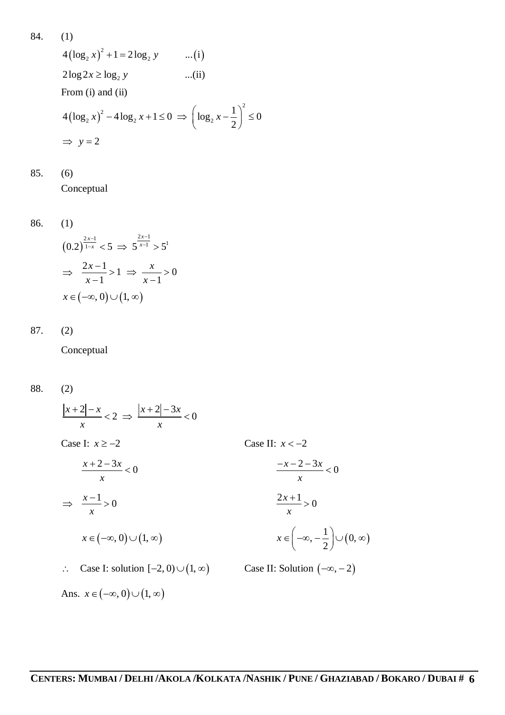84. (1)  
\n
$$
4(\log_2 x)^2 + 1 = 2\log_2 y
$$
 ...(i)  
\n
$$
2\log 2x \ge \log_2 y
$$
 ...(ii)  
\nFrom (i) and (ii)  
\n
$$
4(\log_2 x)^2 - 4\log_2 x + 1 \le 0 \Rightarrow \left(\log_2 x - \frac{1}{2}\right)^2 \le 0
$$
  
\n
$$
\Rightarrow y = 2
$$

85. (6)

Conceptual

86. (1)

$$
(0.2)^{\frac{2x-1}{1-x}} < 5 \implies 5^{\frac{2x-1}{x-1}} > 5^1
$$
  
\n
$$
\implies \frac{2x-1}{x-1} > 1 \implies \frac{x}{x-1} > 0
$$
  
\n
$$
x \in (-\infty, 0) \cup (1, \infty)
$$

$$
87. (2)
$$

Conceptual

88. (2)

$$
\frac{|x+2|-x}{x} < 2 \Rightarrow \frac{|x+2|-3x}{x} < 0
$$
  
\nCase I:  $x \ge -2$   
\n
$$
\frac{x+2-3x}{x} < 0
$$
  
\n
$$
\Rightarrow \frac{x-1}{x} > 0
$$
  
\n
$$
x \in (-\infty, 0) \cup (1, \infty)
$$
  
\n
$$
\text{Let } x < -2
$$
  
\n
$$
\frac{-x-2-3x}{x} < 0
$$
  
\n
$$
\frac{2x+1}{x} > 0
$$
  
\n
$$
x \in (-\infty, -\frac{1}{2}) \cup (0, \infty)
$$

 $\therefore$  Case I: solution  $[-2, 0) \cup (1, \infty)$  Case II: Solution  $(-\infty, -2)$ 

$$
\frac{-x-2-3x}{x} < 0
$$

$$
\frac{2x+1}{x} > 0
$$

$$
x \in \left(-\infty, -\frac{1}{2}\right) \cup \left(0, \infty\right)
$$

Ans.  $x \in (-\infty, 0) \cup (1, \infty)$